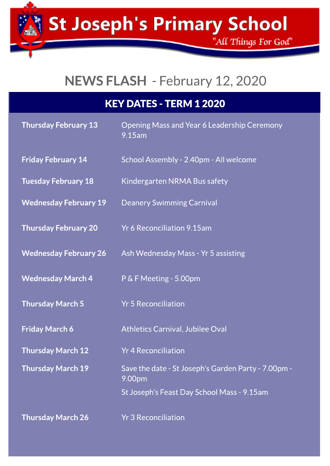St Joseph's Primary School

"All Things For God"

# NEWSFLASH - February 12,2020

| <b>KEY DATES - TERM 1 2020</b> |  |
|--------------------------------|--|
|                                |  |

| <b>Thursday February 13</b>  | Opening Mass and Year 6 Leadership Ceremony<br>9.15am         |  |
|------------------------------|---------------------------------------------------------------|--|
| <b>Friday February 14</b>    | School Assembly - 2.40pm - All welcome                        |  |
| <b>Tuesday February 18</b>   | Kindergarten NRMA Bus safety                                  |  |
| <b>Wednesday February 19</b> | <b>Deanery Swimming Carnival</b>                              |  |
| <b>Thursday February 20</b>  | <b>Yr 6 Reconciliation 9.15am</b>                             |  |
| <b>Wednesday February 26</b> | Ash Wednesday Mass - Yr 5 assisting                           |  |
| <b>Wednesday March 4</b>     | P & F Meeting - 5.00pm                                        |  |
| <b>Thursday March 5</b>      | <b>Yr 5 Reconciliation</b>                                    |  |
| <b>Friday March 6</b>        | <b>Athletics Carnival, Jubilee Oval</b>                       |  |
| <b>Thursday March 12</b>     | <b>Yr 4 Reconciliation</b>                                    |  |
| <b>Thursday March 19</b>     | Save the date - St Joseph's Garden Party - 7.00pm -<br>9.00pm |  |
|                              | St Joseph's Feast Day School Mass - 9.15am                    |  |
| <b>Thursday March 26</b>     | <b>Yr 3 Reconciliation</b>                                    |  |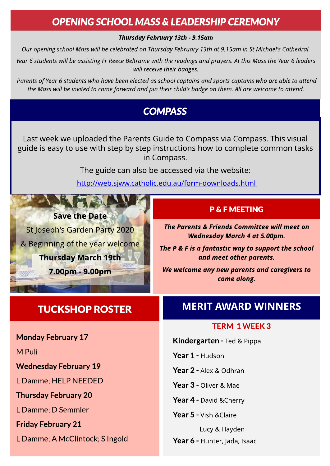## **OPENING SCHOOL MASS & LEADERSHIP CEREMONY**

#### **Thursday February 13th - 9.15am**

**Our openingschool Masswill be celebrated on Thursday February 13th at 9.15am in St Michael'sCathedral.**

**Year 6 studentswill be assistingFr Reece Beltrame with the readingsand prayers. At thisMassthe Year 6 leaders will receive their badges.**

**Parentsof Year 6 studentswho have been elected asschool captainsand sportscaptainswho are able to attend** the Mass will be invited to come forward and pin their child's badge on them. All are welcome to attend.

## **COMPASS**

Last week we uploaded the Parents Guide to Compass via Compass. This visual guide is easy to use with step by step instructions how to complete common tasks in Compass.

The guide can also be accessed via the website:

<http://web.sjww.catholic.edu.au/form-downloads.html>

# **Save the Date**

St Joseph's Garden Party 2020 & Beginning of the year welcome **Thursday March 19th** 7.00pm - 9.00pm

# TUCKSHOP ROSTER MERIT AWARD WINNERS

P& F MEETING

**The Parents & Friends Committee will meet on Wednesday March 4 at 5.00pm.**

**The P & F is a fantastic way to support the school and meet other parents.**

**We welcome any new parents and caregivers to come along.**

### TERM 1 WEEK 3

Kindergarten - Ted & Pippa

Year 1 - Hudson

Year 2 - Alex & Odhran

Year 3 - Oliver & Mae

Year 4 - David & Cherry

Year 5 - Vish & Claire

Lucy & Hayden Year 6 - Hunter, Jada, Isaac

Monday February 17

M Puli

Wednesday February 19

L Damme; HELP NEEDED

Thursday February 20

L Damme; D Semmler

Friday February 21

L Damme; A McClintock; S Ingold